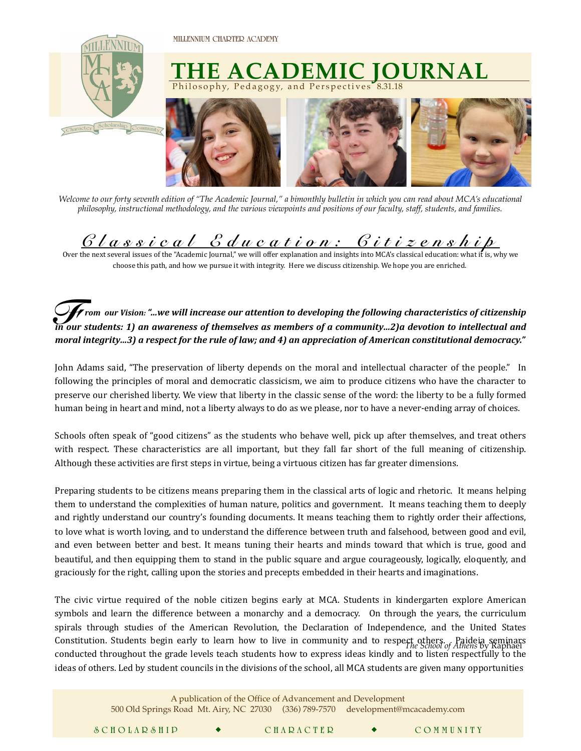**MILLENNIUM CHARTER ACADEMY** 

 $\mathcal{L} = \mathcal{L} \mathcal{L}$ 



*Welcome to our forty seventh edition of "The Academic Journal," a bimonthly bulletin in which you can read about MCA's educational philosophy, instructional methodology, and the various viewpoints and positions of our faculty, staff, students, and families.* 

## *Classical Education: Citizenship*

Over the next several issues of the "Academic Journal," we will offer explanation and insights into MCA's classical education: what it is, why we choose this path, and how we pursue it with integrity. Here we discuss citizenship. We hope you are enriched.

 $\hat{\mathcal{F}}$  rom  $\,$ our Vision: "…we will increase our attention to developing the following characteristics of citizenship  $\,$ *in* our Vision: "...we will increase our attention to developing the following characteristics of citizenship<br>*In our students: 1)* an awareness of themselves as members of a community...2)a devotion to intellectual and *moral integrity…3)* a respect for the rule of law; and 4) an appreciation of American constitutional democracy."

John Adams said, "The preservation of liberty depends on the moral and intellectual character of the people." In following the principles of moral and democratic classicism, we aim to produce citizens who have the character to preserve our cherished liberty. We view that liberty in the classic sense of the word: the liberty to be a fully formed human being in heart and mind, not a liberty always to do as we please, nor to have a never-ending array of choices.

Schools often speak of "good citizens" as the students who behave well, pick up after themselves, and treat others with respect. These characteristics are all important, but they fall far short of the full meaning of citizenship. Although these activities are first steps in virtue, being a virtuous citizen has far greater dimensions.

Preparing students to be citizens means preparing them in the classical arts of logic and rhetoric. It means helping them to understand the complexities of human nature, politics and government. It means teaching them to deeply and rightly understand our country's founding documents. It means teaching them to rightly order their affections, to love what is worth loving, and to understand the difference between truth and falsehood, between good and evil, and even between better and best. It means tuning their hearts and minds toward that which is true, good and beautiful, and then equipping them to stand in the public square and argue courageously, logically, eloquently, and graciously for the right, calling upon the stories and precepts embedded in their hearts and imaginations.

The civic virtue required of the noble citizen begins early at MCA. Students in kindergarten explore American symbols and learn the difference between a monarchy and a democracy. On through the years, the curriculum spirals through studies of the American Revolution, the Declaration of Independence, and the United States Constitution. Students begin early to learn how to live in community and to respect others. Paideia seminars<br>*Constitution*. Students begin early to learn how to live in community and to respect others by Raphael conducted throughout the grade levels teach students how to express ideas kindly and to listen respectfully to the ideas of others. Led by student councils in the divisions of the school, all MCA students are given many opportunities

| A publication of the Office of Advancement and Development<br>500 Old Springs Road Mt. Airy, NC 27030 (336) 789-7570 development@mcacademy.com |  |  |                  |  |           |
|------------------------------------------------------------------------------------------------------------------------------------------------|--|--|------------------|--|-----------|
| SCHOLARSHIP                                                                                                                                    |  |  | <b>CHARACTER</b> |  | COMMUNITY |